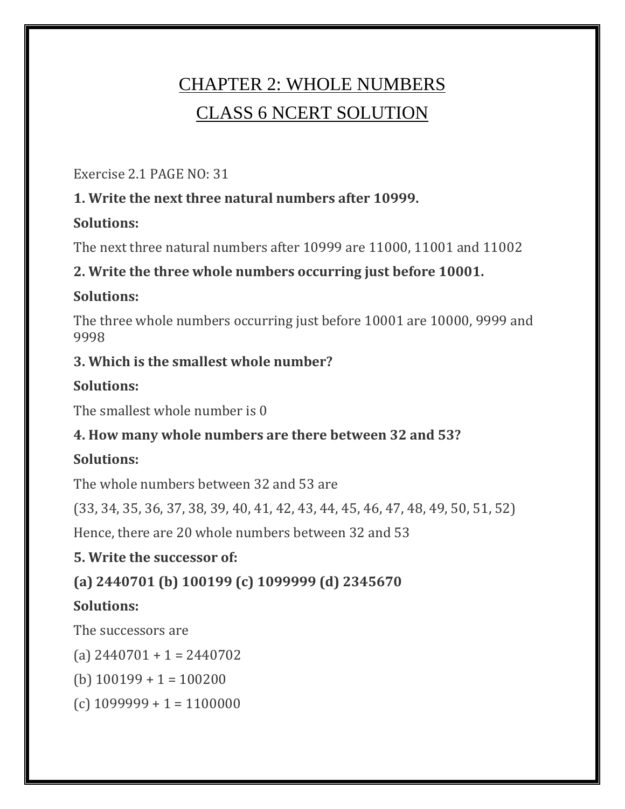# CHAPTER 2: WHOLE NUMBERS CLASS 6 NCERT SOLUTION

Exercise 2.1 PAGE NO: 31

## **1. Write the next three natural numbers after 10999.**

#### **Solutions:**

The next three natural numbers after 10999 are 11000, 11001 and 11002

# **2. Write the three whole numbers occurring just before 10001.**

## **Solutions:**

The three whole numbers occurring just before 10001 are 10000, 9999 and 9998

## **3. Which is the smallest whole number?**

# **Solutions:**

The smallest whole number is 0

# **4. How many whole numbers are there between 32 and 53?**

# **Solutions:**

The whole numbers between 32 and 53 are

(33, 34, 35, 36, 37, 38, 39, 40, 41, 42, 43, 44, 45, 46, 47, 48, 49, 50, 51, 52)

Hence, there are 20 whole numbers between 32 and 53

# **5. Write the successor of:**

# **(a) 2440701 (b) 100199 (c) 1099999 (d) 2345670**

# **Solutions:**

The successors are

- (a)  $2440701 + 1 = 2440702$
- (b)  $100199 + 1 = 100200$
- $(c)$  1099999 + 1 = 1100000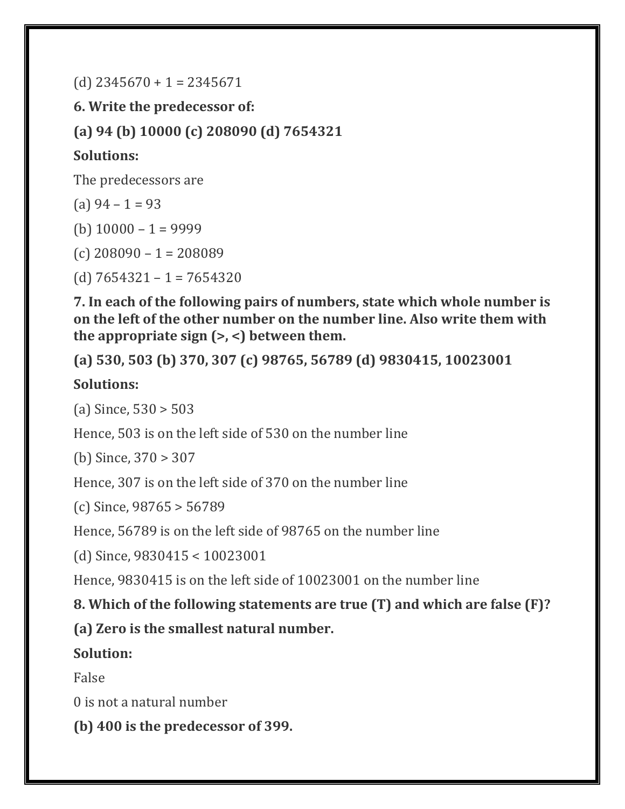$(d)$  2345670 + 1 = 2345671

**6. Write the predecessor of:**

**(a) 94 (b) 10000 (c) 208090 (d) 7654321**

### **Solutions:**

The predecessors are

(a)  $94 - 1 = 93$ 

(b)  $10000 - 1 = 9999$ 

(c) 208090 – 1 = 208089

(d)  $7654321 - 1 = 7654320$ 

**7. In each of the following pairs of numbers, state which whole number is on the left of the other number on the number line. Also write them with the appropriate sign (>, <) between them.**

**(a) 530, 503 (b) 370, 307 (c) 98765, 56789 (d) 9830415, 10023001**

### **Solutions:**

(a) Since, 530 > 503

Hence, 503 is on the left side of 530 on the number line

(b) Since, 370 > 307

Hence, 307 is on the left side of 370 on the number line

(c) Since, 98765 > 56789

Hence, 56789 is on the left side of 98765 on the number line

(d) Since, 9830415 < 10023001

Hence, 9830415 is on the left side of 10023001 on the number line

**8. Which of the following statements are true (T) and which are false (F)?**

**(a) Zero is the smallest natural number.**

**Solution:**

False

0 is not a natural number

**(b) 400 is the predecessor of 399.**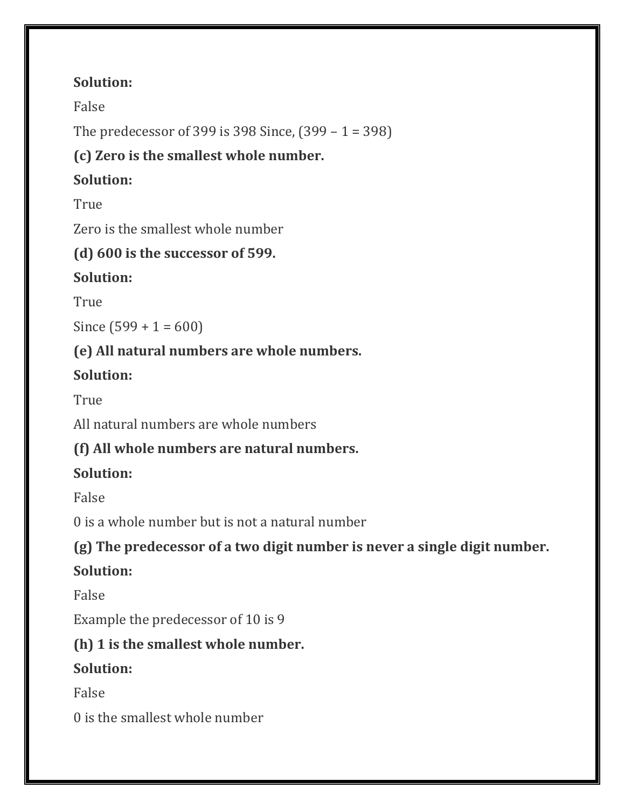## **Solution:**

False

The predecessor of 399 is 398 Since, (399 – 1 = 398)

# **(c) Zero is the smallest whole number.**

# **Solution:**

True

Zero is the smallest whole number

# **(d) 600 is the successor of 599.**

# **Solution:**

True

Since  $(599 + 1 = 600)$ 

# **(e) All natural numbers are whole numbers.**

# **Solution:**

True

All natural numbers are whole numbers

# **(f) All whole numbers are natural numbers.**

# **Solution:**

False

0 is a whole number but is not a natural number

# **(g) The predecessor of a two digit number is never a single digit number.**

# **Solution:**

False

Example the predecessor of 10 is 9

# **(h) 1 is the smallest whole number.**

# **Solution:**

False

0 is the smallest whole number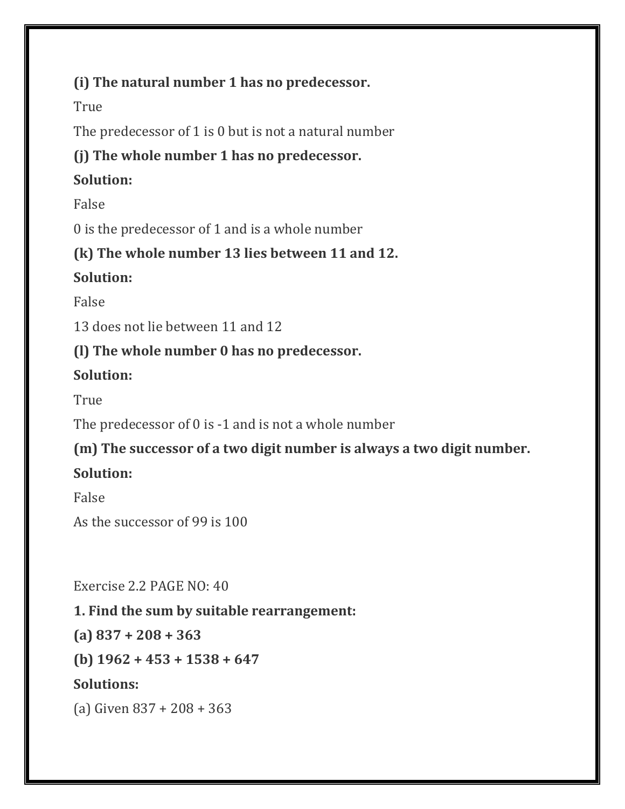### **(i) The natural number 1 has no predecessor.**

True

The predecessor of 1 is 0 but is not a natural number

### **(j) The whole number 1 has no predecessor.**

### **Solution:**

False

0 is the predecessor of 1 and is a whole number

### **(k) The whole number 13 lies between 11 and 12.**

## **Solution:**

False

13 does not lie between 11 and 12

## **(l) The whole number 0 has no predecessor.**

# **Solution:**

True

The predecessor of 0 is -1 and is not a whole number

## **(m) The successor of a two digit number is always a two digit number.**

# **Solution:**

False

As the successor of 99 is 100

Exercise 2.2 PAGE NO: 40

## **1. Find the sum by suitable rearrangement:**

**(a) 837 + 208 + 363**

**(b) 1962 + 453 + 1538 + 647**

## **Solutions:**

(a) Given 837 + 208 + 363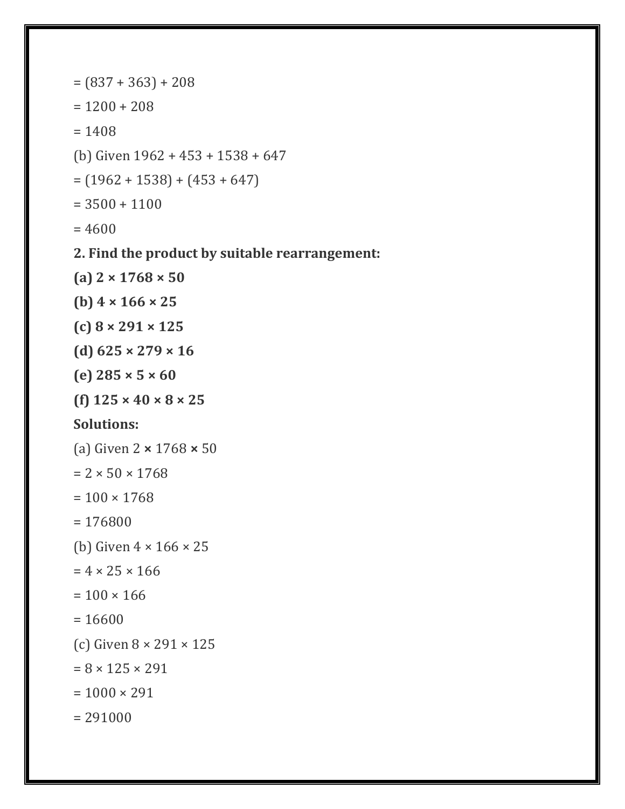```
=(837 + 363) + 208= 1200 + 208= 1408(b) Given 1962 + 453 + 1538 + 647
= (1962 + 1538) + (453 + 647)= 3500 + 1100= 46002. Find the product by suitable rearrangement:
(a) 2 × 1768 × 50
(b) 4 × 166 × 25
(c) 8 × 291 × 125
(d) 625 × 279 × 16
(e) 285 × 5 × 60
(f) 125 × 40 × 8 × 25
Solutions:
(a) Given 2 × 1768 × 50
= 2 \times 50 \times 1768= 100 \times 1768= 176800
(b) Given 4 × 166 × 25
= 4 \times 25 \times 166= 100 \times 166= 16600(c) Given 8 × 291 × 125
= 8 \times 125 \times 291= 1000 \times 291= 291000
```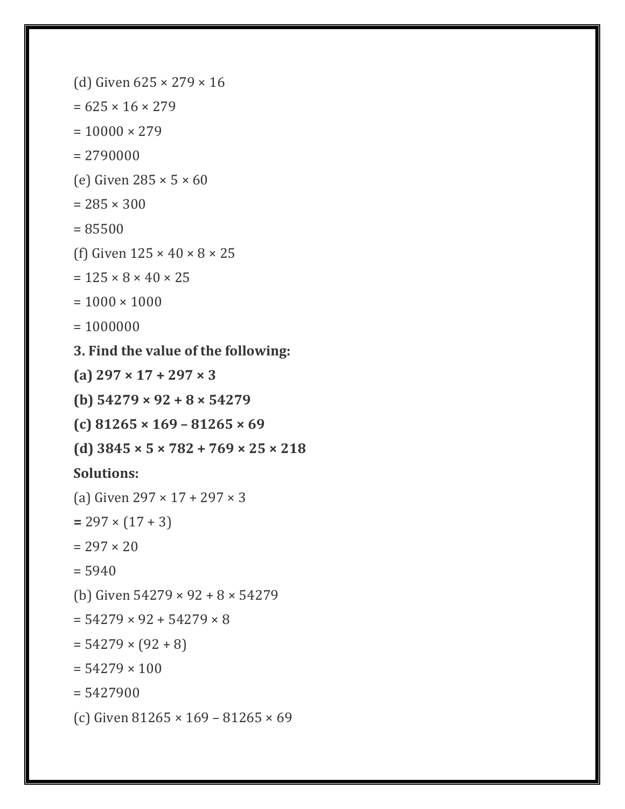(d) Given  $625 \times 279 \times 16$  $= 625 \times 16 \times 279$  $= 10000 \times 279$  $= 2790000$ (e) Given  $285 \times 5 \times 60$  $= 285 \times 300$ = 85500 (f) Given  $125 \times 40 \times 8 \times 25$  $= 125 \times 8 \times 40 \times 25$  $= 1000 \times 1000$  $= 1000000$ **3. Find the value of the following: (a) 297 × 17 + 297 × 3 (b) 54279 × 92 + 8 × 54279 (c) 81265 × 169 – 81265 × 69 (d) 3845 × 5 × 782 + 769 × 25 × 218 Solutions:** (a) Given 297 × 17 + 297 × 3  $= 297 \times (17 + 3)$  $= 297 \times 20$  $= 5940$ (b) Given 54279 × 92 + 8 × 54279  $= 54279 \times 92 + 54279 \times 8$  $= 54279 \times (92 + 8)$  $= 54279 \times 100$  $= 5427900$ (c) Given 81265 × 169 – 81265 × 69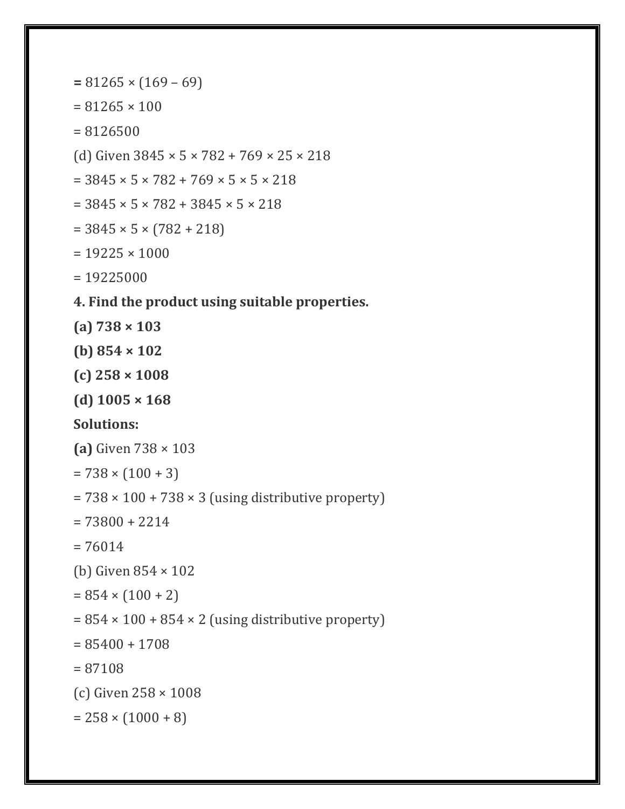```
= 81265 × (169 – 69)
= 81265 \times 100= 8126500(d) Given 3845 × 5 × 782 + 769 × 25 × 218
= 3845 \times 5 \times 782 + 769 \times 5 \times 5 \times 218= 3845 \times 5 \times 782 + 3845 \times 5 \times 218= 3845 \times 5 \times (782 + 218)= 19225 \times 1000= 19225000
4. Find the product using suitable properties.
(a) 738 × 103
(b) 854 × 102
(c) 258 × 1008
(d) 1005 × 168
Solutions:
(a) Given 738 × 103
= 738 \times (100 + 3)= 738 \times 100 + 738 \times 3 (using distributive property)
= 73800 + 2214= 76014(b) Given 854 × 102
= 854 \times (100 + 2)= 854 \times 100 + 854 \times 2 (using distributive property)
= 85400 + 1708= 87108
(c) Given 258 × 1008
= 258 \times (1000 + 8)
```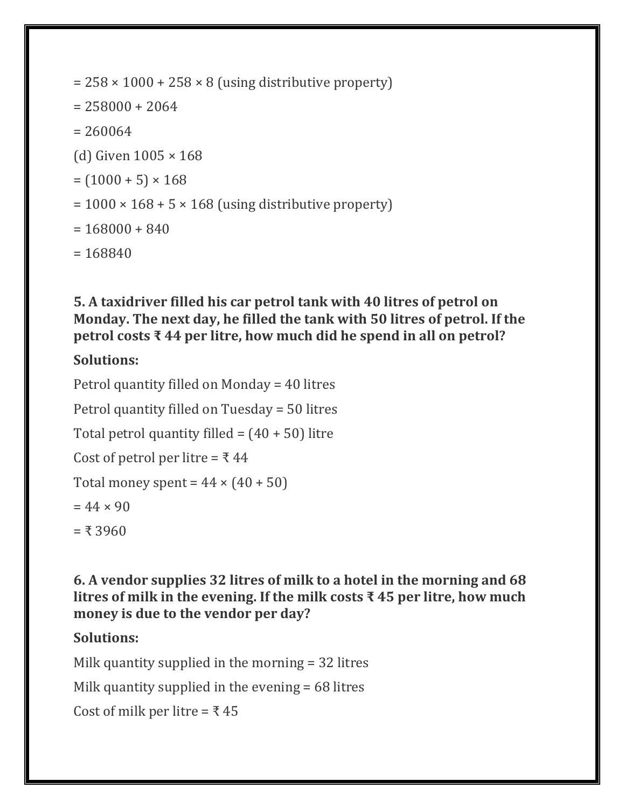```
= 258 \times 1000 + 258 \times 8 (using distributive property)
= 258000 + 2064= 260064(d) Given 1005 × 168
= (1000 + 5) \times 168= 1000 \times 168 + 5 \times 168 (using distributive property)
= 168000 + 840= 168840
```
**5. A taxidriver filled his car petrol tank with 40 litres of petrol on Monday. The next day, he filled the tank with 50 litres of petrol. If the petrol costs ₹ 44 per litre, how much did he spend in all on petrol?**

#### **Solutions:**

Petrol quantity filled on Monday = 40 litres Petrol quantity filled on Tuesday = 50 litres Total petrol quantity filled =  $(40 + 50)$  litre Cost of petrol per litre =  $\overline{\xi}$  44 Total money spent =  $44 \times (40 + 50)$  $= 44 \times 90$  $= 7.3960$ 

**6. A vendor supplies 32 litres of milk to a hotel in the morning and 68 litres of milk in the evening. If the milk costs ₹ 45 per litre, how much money is due to the vendor per day?**

#### **Solutions:**

Milk quantity supplied in the morning = 32 litres

Milk quantity supplied in the evening = 68 litres

Cost of milk per litre =  $\overline{\xi}$  45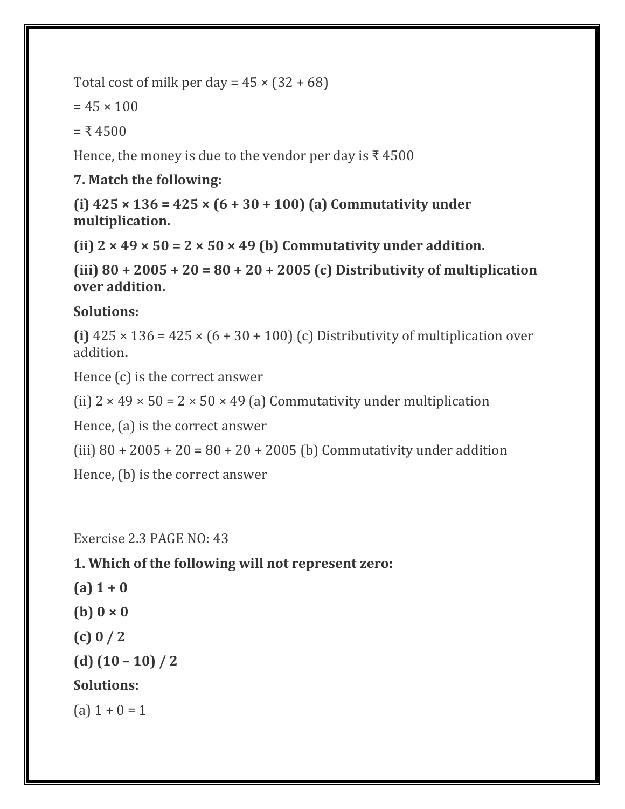Total cost of milk per day =  $45 \times (32 + 68)$ 

 $= 45 \times 100$ 

 $= 74500$ 

Hence, the money is due to the vendor per day is  $\bar{x}$  4500

#### **7. Match the following:**

**(i) 425 × 136 = 425 × (6 + 30 + 100) (a) Commutativity under multiplication.**

(ii)  $2 \times 49 \times 50 = 2 \times 50 \times 49$  (b) Commutativity under addition.

**(iii) 80 + 2005 + 20 = 80 + 20 + 2005 (c) Distributivity of multiplication over addition.**

#### **Solutions:**

(i)  $425 \times 136 = 425 \times (6 + 30 + 100)$  (c) Distributivity of multiplication over addition**.**

Hence (c) is the correct answer

(ii)  $2 \times 49 \times 50 = 2 \times 50 \times 49$  (a) Commutativity under multiplication

Hence, (a) is the correct answer

(iii)  $80 + 2005 + 20 = 80 + 20 + 2005$  (b) Commutativity under addition

Hence, (b) is the correct answer

Exercise 2.3 PAGE NO: 43

#### **1. Which of the following will not represent zero:**

- **(a) 1 + 0**
- **(b) 0 × 0**
- **(c) 0 / 2**

**(d) (10 – 10) / 2**

#### **Solutions:**

(a)  $1 + 0 = 1$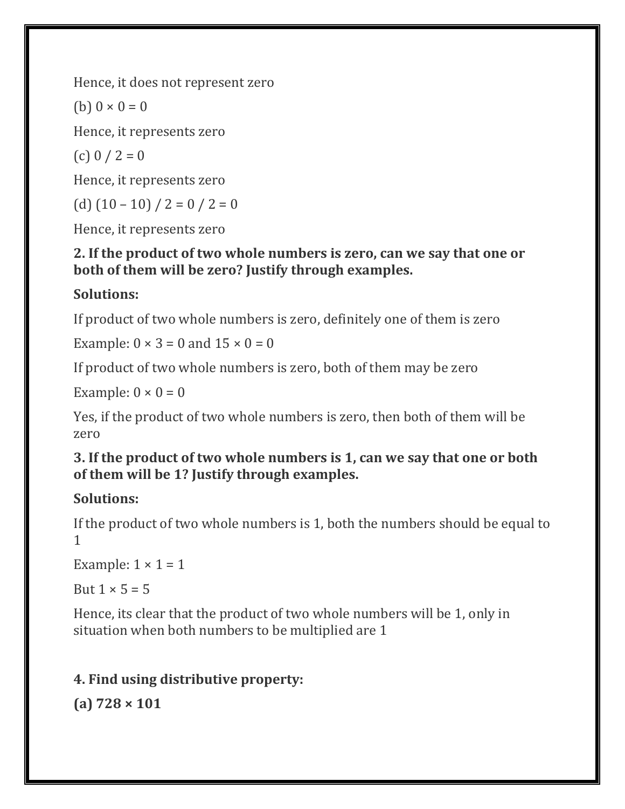Hence, it does not represent zero

(b)  $0 \times 0 = 0$ 

Hence, it represents zero

(c)  $0 / 2 = 0$ 

Hence, it represents zero

(d)  $(10 - 10) / 2 = 0 / 2 = 0$ 

Hence, it represents zero

#### **2. If the product of two whole numbers is zero, can we say that one or both of them will be zero? Justify through examples.**

#### **Solutions:**

If product of two whole numbers is zero, definitely one of them is zero

Example:  $0 \times 3 = 0$  and  $15 \times 0 = 0$ 

If product of two whole numbers is zero, both of them may be zero

Example:  $0 \times 0 = 0$ 

Yes, if the product of two whole numbers is zero, then both of them will be zero

#### **3. If the product of two whole numbers is 1, can we say that one or both of them will be 1? Justify through examples.**

#### **Solutions:**

If the product of two whole numbers is 1, both the numbers should be equal to 1

Example:  $1 \times 1 = 1$ 

But  $1 \times 5 = 5$ 

Hence, its clear that the product of two whole numbers will be 1, only in situation when both numbers to be multiplied are 1

## **4. Find using distributive property:**

**(a) 728 × 101**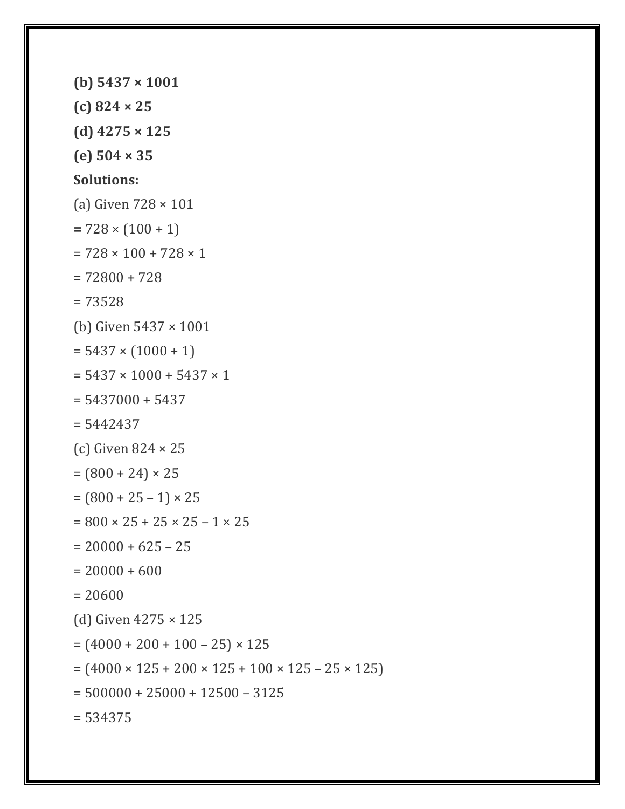```
(b) 5437 × 1001
(c) 824 × 25
(d) 4275 × 125
(e) 504 × 35
Solutions:
(a) Given 728 × 101
= 728 \times (100 + 1)= 728 \times 100 + 728 \times 1= 72800 + 728
= 73528
(b) Given 5437 × 1001
= 5437 \times (1000 + 1)= 5437 \times 1000 + 5437 \times 1= 5437000 + 5437= 5442437(c) Given 824 × 25
= (800 + 24) \times 25= (800 + 25 - 1) \times 25= 800 \times 25 + 25 \times 25 - 1 \times 25= 20000 + 625 - 25= 20000 + 600= 20600
(d) Given 4275 × 125
= (4000 + 200 + 100 - 25) \times 125= (4000 \times 125 + 200 \times 125 + 100 \times 125 - 25 \times 125)= 500000 + 25000 + 12500 - 3125= 534375
```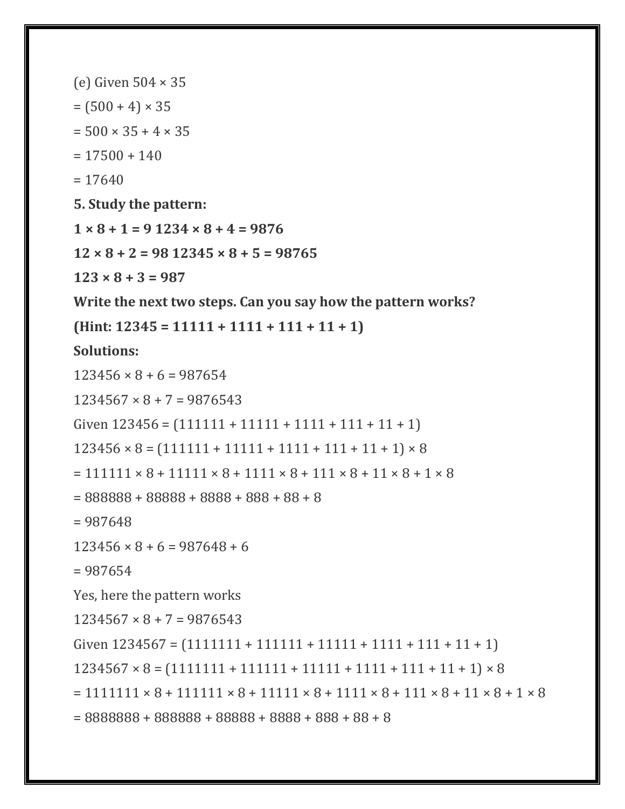(e) Given 504 × 35  $= (500 + 4) \times 35$  $= 500 \times 35 + 4 \times 35$  $= 17500 + 140$  $= 17640$ **5. Study the pattern: 1 × 8 + 1 = 9 1234 × 8 + 4 = 9876 12 × 8 + 2 = 98 12345 × 8 + 5 = 98765 123 × 8 + 3 = 987 Write the next two steps. Can you say how the pattern works? (Hint: 12345 = 11111 + 1111 + 111 + 11 + 1) Solutions:**  $123456 \times 8 + 6 = 987654$  $1234567 \times 8 + 7 = 9876543$ Given  $123456 = (111111 + 11111 + 1111 + 111 + 11 + 1)$  $123456 \times 8 = (111111 + 11111 + 1111 + 111 + 11 + 1) \times 8$  $= 111111 \times 8 + 11111 \times 8 + 1111 \times 8 + 111 \times 8 + 11 \times 8 + 1 \times 8$  $= 888888 + 88888 + 8888 + 888 + 88 + 8$ = 987648  $123456 \times 8 + 6 = 987648 + 6$  $= 987654$ Yes, here the pattern works  $1234567 \times 8 + 7 = 9876543$ Given  $1234567 = (1111111 + 111111 + 11111 + 1111 + 11 + 1)$  $1234567 \times 8 = (1111111 + 111111 + 11111 + 1111 + 111 + 11) \times 8$  $= 1111111 \times 8 + 111111 \times 8 + 11111 \times 8 + 1111 \times 8 + 111 \times 8 + 11 \times 8 + 1 \times 8$ = 8888888 + 888888 + 88888 + 8888 + 888 + 88 + 8